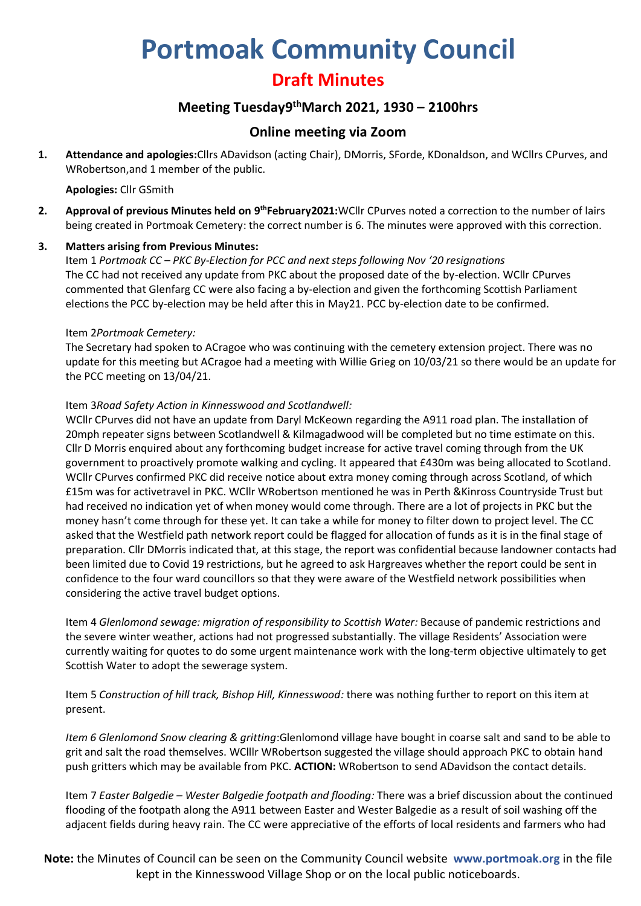# **Portmoak Community Council**

# **Draft Minutes**

## **Meeting Tuesday9 thMarch 2021, 1930 – 2100hrs**

### **Online meeting via Zoom**

**1. Attendance and apologies:**Cllrs ADavidson (acting Chair), DMorris, SForde, KDonaldson, and WCllrs CPurves, and WRobertson,and 1 member of the public.

#### **Apologies:** Cllr GSmith

2. Approval of previous Minutes held on 9<sup>th</sup>February2021:WCllr CPurves noted a correction to the number of lairs being created in Portmoak Cemetery: the correct number is 6. The minutes were approved with this correction.

#### **3. Matters arising from Previous Minutes:**

Item 1 *Portmoak CC – PKC By-Election for PCC and next steps following Nov '20 resignations* The CC had not received any update from PKC about the proposed date of the by-election. WCllr CPurves commented that Glenfarg CC were also facing a by-election and given the forthcoming Scottish Parliament elections the PCC by-election may be held after this in May21. PCC by-election date to be confirmed.

#### Item 2*Portmoak Cemetery:*

The Secretary had spoken to ACragoe who was continuing with the cemetery extension project. There was no update for this meeting but ACragoe had a meeting with Willie Grieg on 10/03/21 so there would be an update for the PCC meeting on 13/04/21.

#### Item 3*Road Safety Action in Kinnesswood and Scotlandwell:*

WCllr CPurves did not have an update from Daryl McKeown regarding the A911 road plan. The installation of 20mph repeater signs between Scotlandwell & Kilmagadwood will be completed but no time estimate on this. Cllr D Morris enquired about any forthcoming budget increase for active travel coming through from the UK government to proactively promote walking and cycling. It appeared that £430m was being allocated to Scotland. WCllr CPurves confirmed PKC did receive notice about extra money coming through across Scotland, of which £15m was for activetravel in PKC. WCllr WRobertson mentioned he was in Perth &Kinross Countryside Trust but had received no indication yet of when money would come through. There are a lot of projects in PKC but the money hasn't come through for these yet. It can take a while for money to filter down to project level. The CC asked that the Westfield path network report could be flagged for allocation of funds as it is in the final stage of preparation. Cllr DMorris indicated that, at this stage, the report was confidential because landowner contacts had been limited due to Covid 19 restrictions, but he agreed to ask Hargreaves whether the report could be sent in confidence to the four ward councillors so that they were aware of the Westfield network possibilities when considering the active travel budget options.

Item 4 *Glenlomond sewage: migration of responsibility to Scottish Water:* Because of pandemic restrictions and the severe winter weather, actions had not progressed substantially. The village Residents' Association were currently waiting for quotes to do some urgent maintenance work with the long-term objective ultimately to get Scottish Water to adopt the sewerage system.

Item 5 *Construction of hill track, Bishop Hill, Kinnesswood:* there was nothing further to report on this item at present.

*Item 6 Glenlomond Snow clearing & gritting*:Glenlomond village have bought in coarse salt and sand to be able to grit and salt the road themselves. WClllr WRobertson suggested the village should approach PKC to obtain hand push gritters which may be available from PKC. **ACTION:** WRobertson to send ADavidson the contact details.

Item 7 *Easter Balgedie – Wester Balgedie footpath and flooding:* There was a brief discussion about the continued flooding of the footpath along the A911 between Easter and Wester Balgedie as a result of soil washing off the adjacent fields during heavy rain. The CC were appreciative of the efforts of local residents and farmers who had

**Note:** the Minutes of Council can be seen on the Community Council website **www.portmoak.org** in the file kept in the Kinnesswood Village Shop or on the local public noticeboards.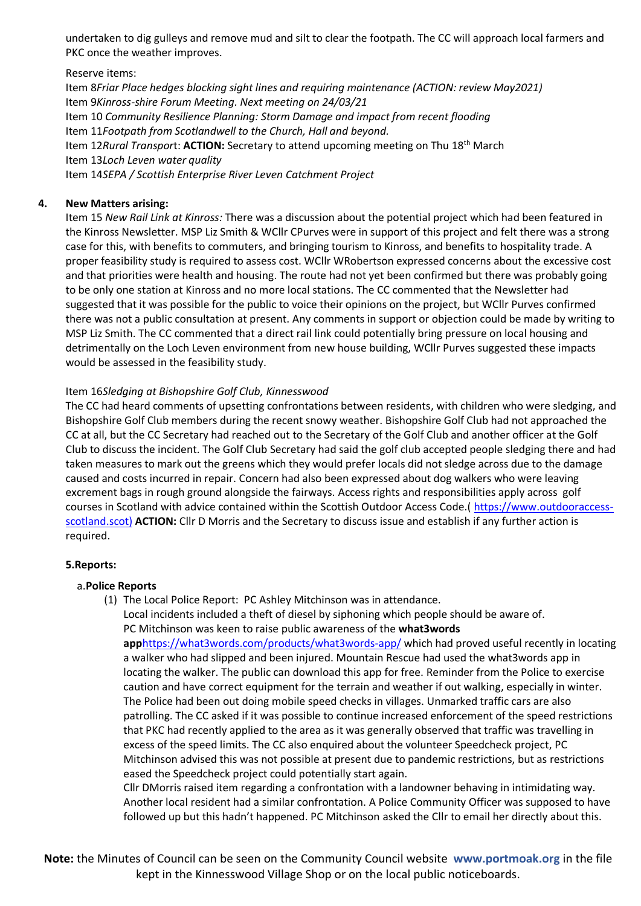undertaken to dig gulleys and remove mud and silt to clear the footpath. The CC will approach local farmers and PKC once the weather improves.

Reserve items:

Item 8*Friar Place hedges blocking sight lines and requiring maintenance (ACTION: review May2021)* Item 9*Kinross-shire Forum Meeting. Next meeting on 24/03/21* Item 10 *Community Resilience Planning: Storm Damage and impact from recent flooding* Item 11*Footpath from Scotlandwell to the Church, Hall and beyond.* Item 12*Rural Transpor*t: **ACTION:** Secretary to attend upcoming meeting on Thu 18th March Item 13*Loch Leven water quality* Item 14*SEPA / Scottish Enterprise River Leven Catchment Project*

#### **4. New Matters arising:**

Item 15 *New Rail Link at Kinross:* There was a discussion about the potential project which had been featured in the Kinross Newsletter. MSP Liz Smith & WCllr CPurves were in support of this project and felt there was a strong case for this, with benefits to commuters, and bringing tourism to Kinross, and benefits to hospitality trade. A proper feasibility study is required to assess cost. WCllr WRobertson expressed concerns about the excessive cost and that priorities were health and housing. The route had not yet been confirmed but there was probably going to be only one station at Kinross and no more local stations. The CC commented that the Newsletter had suggested that it was possible for the public to voice their opinions on the project, but WCllr Purves confirmed there was not a public consultation at present. Any comments in support or objection could be made by writing to MSP Liz Smith. The CC commented that a direct rail link could potentially bring pressure on local housing and detrimentally on the Loch Leven environment from new house building, WCllr Purves suggested these impacts would be assessed in the feasibility study.

#### Item 16*Sledging at Bishopshire Golf Club, Kinnesswood*

The CC had heard comments of upsetting confrontations between residents, with children who were sledging, and Bishopshire Golf Club members during the recent snowy weather. Bishopshire Golf Club had not approached the CC at all, but the CC Secretary had reached out to the Secretary of the Golf Club and another officer at the Golf Club to discuss the incident. The Golf Club Secretary had said the golf club accepted people sledging there and had taken measures to mark out the greens which they would prefer locals did not sledge across due to the damage caused and costs incurred in repair. Concern had also been expressed about dog walkers who were leaving excrement bags in rough ground alongside the fairways. Access rights and responsibilities apply across golf courses in Scotland with advice contained within the Scottish Outdoor Access Code.( [https://www.outdooraccess](https://www.outdooraccess-scotland.scot)/)[scotland.scot\)](https://www.outdooraccess-scotland.scot)/) **ACTION:** Cllr D Morris and the Secretary to discuss issue and establish if any further action is required.

#### **5.Reports:**

#### a.**Police Reports**

(1) The Local Police Report: PC Ashley Mitchinson was in attendance.

Local incidents included a theft of diesel by siphoning which people should be aware of. PC Mitchinson was keen to raise public awareness of the **what3words app**<https://what3words.com/products/what3words-app/> which had proved useful recently in locating a walker who had slipped and been injured. Mountain Rescue had used the what3words app in locating the walker. The public can download this app for free. Reminder from the Police to exercise caution and have correct equipment for the terrain and weather if out walking, especially in winter. The Police had been out doing mobile speed checks in villages. Unmarked traffic cars are also patrolling. The CC asked if it was possible to continue increased enforcement of the speed restrictions that PKC had recently applied to the area as it was generally observed that traffic was travelling in excess of the speed limits. The CC also enquired about the volunteer Speedcheck project, PC Mitchinson advised this was not possible at present due to pandemic restrictions, but as restrictions eased the Speedcheck project could potentially start again.

Cllr DMorris raised item regarding a confrontation with a landowner behaving in intimidating way. Another local resident had a similar confrontation. A Police Community Officer was supposed to have followed up but this hadn't happened. PC Mitchinson asked the Cllr to email her directly about this.

**Note:** the Minutes of Council can be seen on the Community Council website **www.portmoak.org** in the file kept in the Kinnesswood Village Shop or on the local public noticeboards.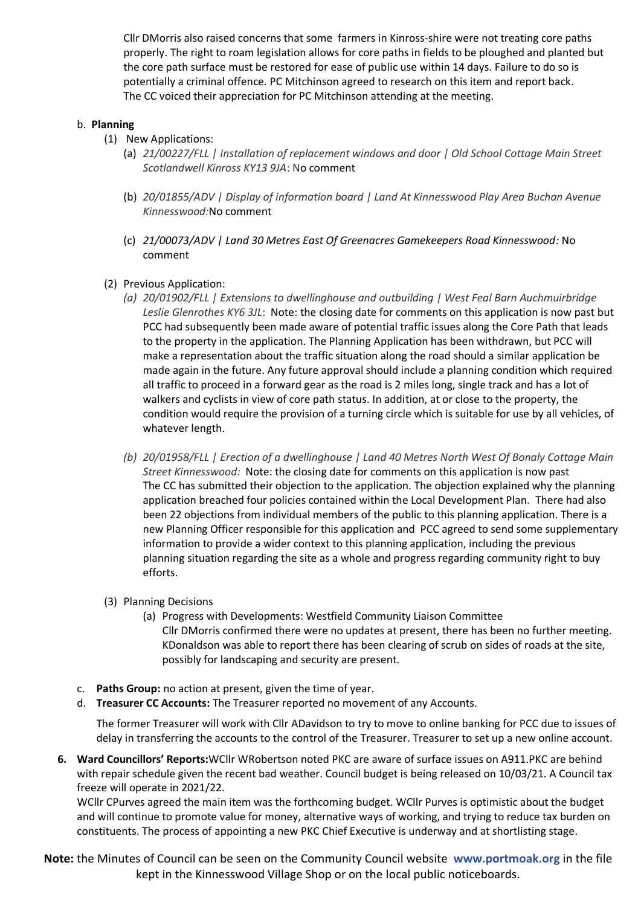Cllr DMorris also raised concerns that some farmers in Kinross-shire were not treating core paths properly. The right to roam legislation allows for core paths in fields to be ploughed and planted but the core path surface must be restored for ease of public use within 14 days. Failure to do so is potentially a criminal offence. PC Mitchinson agreed to research on this item and report back. The CC voiced their appreciation for PC Mitchinson attending at the meeting.

#### b. **Planning**

- (1) New Applications:
	- (a) *21/00227/FLL | Installation of replacement windows and door | Old School Cottage Main Street Scotlandwell Kinross KY13 9JA*: No comment
	- (b) *20/01855/ADV | Display of information board | Land At Kinnesswood Play Area Buchan Avenue Kinnesswood:*No comment
	- (c) *21/00073/ADV | Land 30 Metres East Of Greenacres Gamekeepers Road Kinnesswood:* No comment
- (2) Previous Application:
	- *(a) 20/01902/FLL | Extensions to dwellinghouse and outbuilding | West Feal Barn Auchmuirbridge Leslie Glenrothes KY6 3JL*: Note: the closing date for comments on this application is now past but PCC had subsequently been made aware of potential traffic issues along the Core Path that leads to the property in the application. The Planning Application has been withdrawn, but PCC will make a representation about the traffic situation along the road should a similar application be made again in the future. Any future approval should include a planning condition which required all traffic to proceed in a forward gear as the road is 2 miles long, single track and has a lot of walkers and cyclists in view of core path status. In addition, at or close to the property, the condition would require the provision of a turning circle which is suitable for use by all vehicles, of whatever length.
	- *(b) 20/01958/FLL | Erection of a dwellinghouse | Land 40 Metres North West Of Bonaly Cottage Main Street Kinnesswood:* Note: the closing date for comments on this application is now past The CC has submitted their objection to the application. The objection explained why the planning application breached four policies contained within the Local Development Plan. There had also been 22 objections from individual members of the public to this planning application. There is a new Planning Officer responsible for this application and PCC agreed to send some supplementary information to provide a wider context to this planning application, including the previous planning situation regarding the site as a whole and progress regarding community right to buy efforts.
- (3) Planning Decisions
	- (a) Progress with Developments: Westfield Community Liaison Committee Cllr DMorris confirmed there were no updates at present, there has been no further meeting. KDonaldson was able to report there has been clearing of scrub on sides of roads at the site, possibly for landscaping and security are present.
- c. **Paths Group:** no action at present, given the time of year.
- d. **Treasurer CC Accounts:** The Treasurer reported no movement of any Accounts.

The former Treasurer will work with Cllr ADavidson to try to move to online banking for PCC due to issues of delay in transferring the accounts to the control of the Treasurer. Treasurer to set up a new online account.

**6. Ward Councillors' Reports:**WCllr WRobertson noted PKC are aware of surface issues on A911.PKC are behind with repair schedule given the recent bad weather. Council budget is being released on 10/03/21. A Council tax freeze will operate in 2021/22.

WCllr CPurves agreed the main item was the forthcoming budget. WCllr Purves is optimistic about the budget and will continue to promote value for money, alternative ways of working, and trying to reduce tax burden on constituents. The process of appointing a new PKC Chief Executive is underway and at shortlisting stage.

**Note:** the Minutes of Council can be seen on the Community Council website **www.portmoak.org** in the file kept in the Kinnesswood Village Shop or on the local public noticeboards.